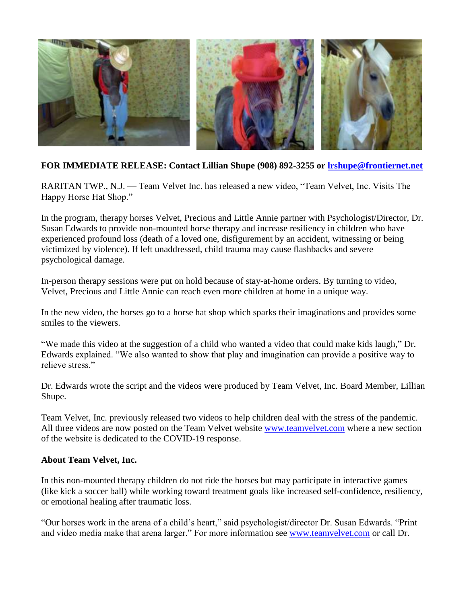

## **FOR IMMEDIATE RELEASE: Contact Lillian Shupe (908) 892-3255 or [lrshupe@frontiernet.net](mailto:lrshupe@frontiernet.net)**

RARITAN TWP., N.J. — Team Velvet Inc. has released a new video, "Team Velvet, Inc. Visits The Happy Horse Hat Shop."

In the program, therapy horses Velvet, Precious and Little Annie partner with Psychologist/Director, Dr. Susan Edwards to provide non-mounted horse therapy and increase resiliency in children who have experienced profound loss (death of a loved one, disfigurement by an accident, witnessing or being victimized by violence). If left unaddressed, child trauma may cause flashbacks and severe psychological damage.

In-person therapy sessions were put on hold because of stay-at-home orders. By turning to video, Velvet, Precious and Little Annie can reach even more children at home in a unique way.

In the new video, the horses go to a horse hat shop which sparks their imaginations and provides some smiles to the viewers.

"We made this video at the suggestion of a child who wanted a video that could make kids laugh," Dr. Edwards explained. "We also wanted to show that play and imagination can provide a positive way to relieve stress."

Dr. Edwards wrote the script and the videos were produced by Team Velvet, Inc. Board Member, Lillian Shupe.

Team Velvet, Inc. previously released two videos to help children deal with the stress of the pandemic. All three videos are now posted on the Team Velvet website [www.teamvelvet.com](http://www.teamvelvet.com/) where a new section of the website is dedicated to the COVID-19 response.

## **About Team Velvet, Inc.**

In this non-mounted therapy children do not ride the horses but may participate in interactive games (like kick a soccer ball) while working toward treatment goals like increased self-confidence, resiliency, or emotional healing after traumatic loss.

"Our horses work in the arena of a child's heart," said psychologist/director Dr. Susan Edwards. "Print and video media make that arena larger." For more information see [www.teamvelvet.com](http://www.teamvelvet.com/) or call Dr.